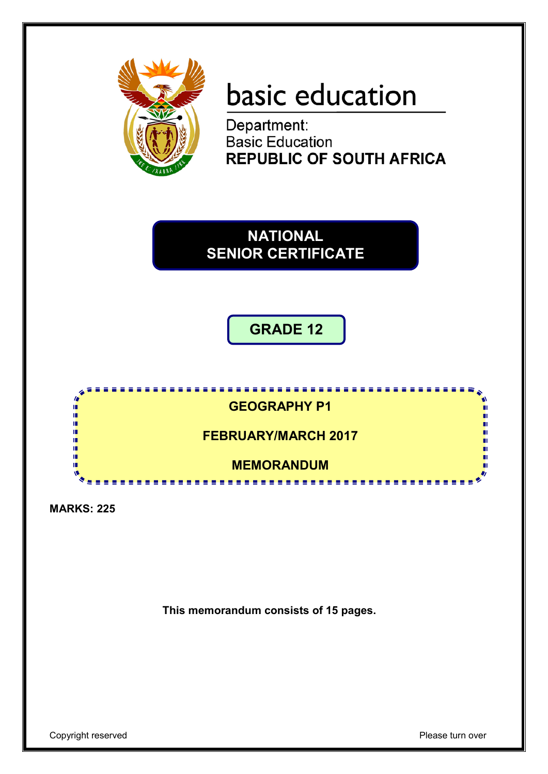

# basic education

Department:<br>Basic Education **REPUBLIC OF SOUTH AFRICA** 

**NATIONAL SENIOR CERTIFICATE**

# **GRADE 12**



**MARKS: 225**

**This memorandum consists of 15 pages.**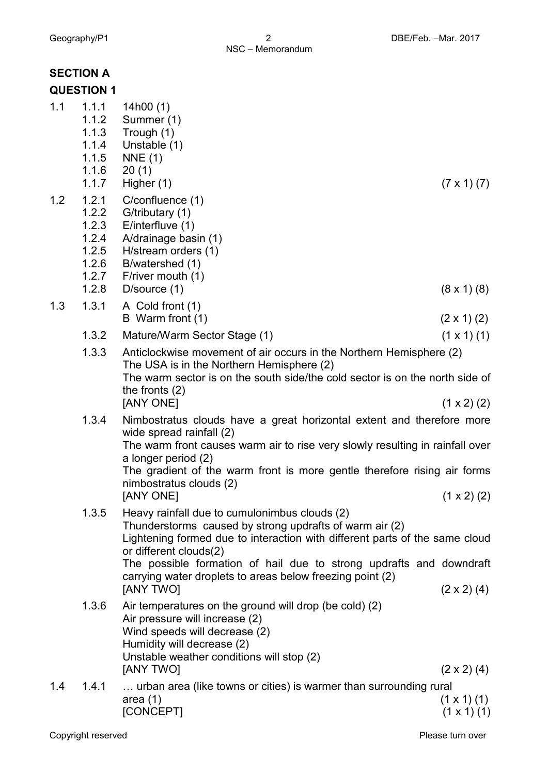|     | <b>SECTION A</b><br><b>QUESTION 1</b>                                |                                                                                                                                                                                                                                                                                                                                                                           |                      |
|-----|----------------------------------------------------------------------|---------------------------------------------------------------------------------------------------------------------------------------------------------------------------------------------------------------------------------------------------------------------------------------------------------------------------------------------------------------------------|----------------------|
| 1.1 | 1.1.1<br>1.1.2<br>1.1.3<br>1.1.4<br>1.1.5<br>1.1.6<br>1.1.7          | 14 $h00(1)$<br>Summer (1)<br>Trough (1)<br>Unstable (1)<br>NNE(1)<br>20(1)<br>Higher (1)                                                                                                                                                                                                                                                                                  | $(7 \times 1) (7)$   |
| 1.2 | 1.2.1<br>1.2.2<br>1.2.3<br>1.2.4<br>1.2.5<br>1.2.6<br>1.2.7<br>1.2.8 | C/confluence (1)<br>G/tributary (1)<br>E/interfluve $(1)$<br>A/drainage basin (1)<br>H/stream orders (1)<br>B/watershed (1)<br>F/river mouth (1)<br>D/source (1)                                                                                                                                                                                                          | $(8 \times 1)$ $(8)$ |
| 1.3 | 1.3.1                                                                | A Cold front (1)<br>B Warm front (1)                                                                                                                                                                                                                                                                                                                                      | $(2 \times 1)$ (2)   |
|     | 1.3.2                                                                | Mature/Warm Sector Stage (1)                                                                                                                                                                                                                                                                                                                                              | $(1 \times 1)$ (1)   |
|     | 1.3.3                                                                | Anticlockwise movement of air occurs in the Northern Hemisphere (2)<br>The USA is in the Northern Hemisphere (2)<br>The warm sector is on the south side/the cold sector is on the north side of<br>the fronts $(2)$<br>[ANY ONE]                                                                                                                                         | $(1 \times 2)$ (2)   |
|     | 1.3.4                                                                | Nimbostratus clouds have a great horizontal extent and therefore more<br>wide spread rainfall (2)<br>The warm front causes warm air to rise very slowly resulting in rainfall over<br>a longer period (2)<br>The gradient of the warm front is more gentle therefore rising air forms<br>nimbostratus clouds (2)<br>[ANY ONE]                                             | $(1 \times 2)$ (2)   |
|     | 1.3.5                                                                | Heavy rainfall due to cumulonimbus clouds (2)<br>Thunderstorms caused by strong updrafts of warm air (2)<br>Lightening formed due to interaction with different parts of the same cloud<br>or different clouds(2)<br>The possible formation of hail due to strong updrafts and downdraft<br>carrying water droplets to areas below freezing point (2)<br><b>JANY TWOI</b> | $(2 \times 2)$ (4)   |
|     | 1.3.6                                                                | Air temperatures on the ground will drop (be cold) (2)<br>Air pressure will increase (2)<br>Wind speeds will decrease (2)<br>Humidity will decrease (2)<br>Unstable weather conditions will stop (2)<br>[ANY TWO]                                                                                                                                                         | $(2 \times 2)$ (4)   |
| 1.4 | 1.4.1                                                                | urban area (like towns or cities) is warmer than surrounding rural<br>area $(1)$                                                                                                                                                                                                                                                                                          | $(1 \times 1)$ $(1)$ |

 $[CONCEPT]$  (1 x 1) (1)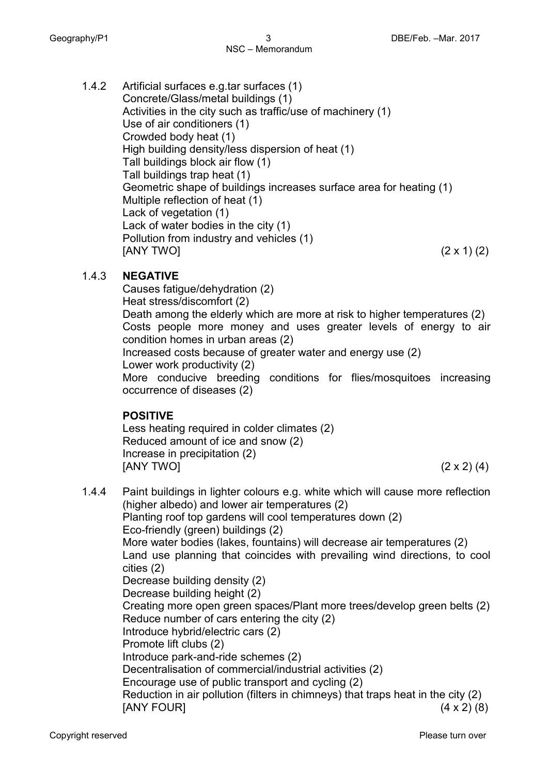1.4.2 Artificial surfaces e.g.tar surfaces (1) Concrete/Glass/metal buildings (1) Activities in the city such as traffic/use of machinery (1) Use of air conditioners (1) Crowded body heat (1) High building density/less dispersion of heat (1) Tall buildings block air flow (1) Tall buildings trap heat (1) Geometric shape of buildings increases surface area for heating (1) Multiple reflection of heat (1) Lack of vegetation (1) Lack of water bodies in the city (1) Pollution from industry and vehicles (1)  $[ANY \, TWO]$  (2 x 1) (2)

#### 1.4.3 **NEGATIVE**

Causes fatigue/dehydration (2) Heat stress/discomfort (2) Death among the elderly which are more at risk to higher temperatures (2) Costs people more money and uses greater levels of energy to air condition homes in urban areas (2) Increased costs because of greater water and energy use (2) Lower work productivity (2) More conducive breeding conditions for flies/mosquitoes increasing occurrence of diseases (2)

#### **POSITIVE**

Less heating required in colder climates (2) Reduced amount of ice and snow (2) Increase in precipitation (2)  $[ANY \, TWO]$  (2 x 2) (4)

1.4.4 Paint buildings in lighter colours e.g. white which will cause more reflection (higher albedo) and lower air temperatures (2) Planting roof top gardens will cool temperatures down (2) Eco-friendly (green) buildings (2) More water bodies (lakes, fountains) will decrease air temperatures (2) Land use planning that coincides with prevailing wind directions, to cool cities (2) Decrease building density (2) Decrease building height (2) Creating more open green spaces/Plant more trees/develop green belts (2) Reduce number of cars entering the city (2) Introduce hybrid/electric cars (2) Promote lift clubs (2) Introduce park-and-ride schemes (2) Decentralisation of commercial/industrial activities (2) Encourage use of public transport and cycling (2) Reduction in air pollution (filters in chimneys) that traps heat in the city (2) [ANY FOUR] (4 x 2) (8)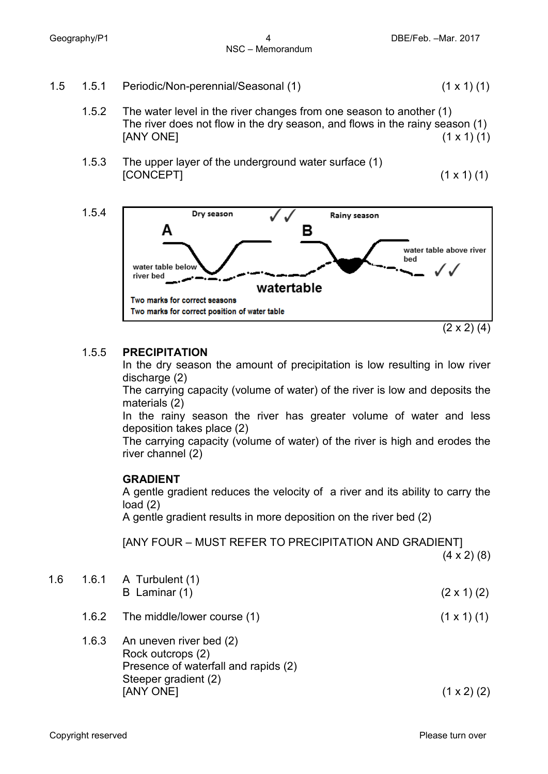- 1.5 1.5.1 Periodic/Non-perennial/Seasonal (1) (1 x 1) (1)
	- 1.5.2 The water level in the river changes from one season to another (1) The river does not flow in the dry season, and flows in the rainy season (1)  $[ANY \t{ONE}]$  (1 x 1) (1)
	- 1.5.3 The upper layer of the underground water surface (1)  $[CONCEPT]$  (1 x 1) (1)



#### 1.5.5 **PRECIPITATION**

In the dry season the amount of precipitation is low resulting in low river discharge (2)

The carrying capacity (volume of water) of the river is low and deposits the materials (2)

In the rainy season the river has greater volume of water and less deposition takes place (2)

The carrying capacity (volume of water) of the river is high and erodes the river channel (2)

#### **GRADIENT**

A gentle gradient reduces the velocity of a river and its ability to carry the load (2)

A gentle gradient results in more deposition on the river bed (2)

[ANY FOUR – MUST REFER TO PRECIPITATION AND GRADIENT]  $(4 \times 2)$  (8)

| 1.6 | 1.6.1 A Turbulent $(1)$<br>B Laminar $(1)$ | $(2 \times 1)$ (2) |
|-----|--------------------------------------------|--------------------|
|     | 1.6.2 The middle/lower course (1)          | $(1 \times 1)$ (1) |
|     | 1.6.3 An uneven river bed (2)              |                    |

Rock outcrops (2) Presence of waterfall and rapids (2) Steeper gradient (2)  $[ANY \t{ONE}]$  (1 x 2) (2)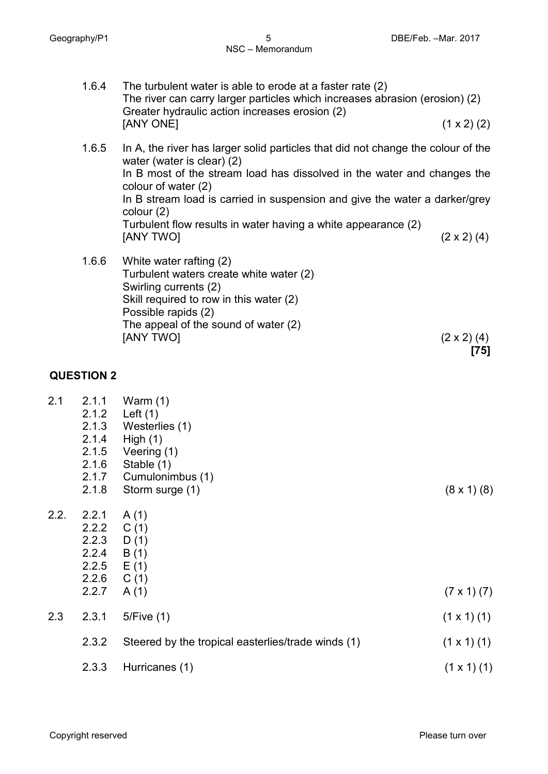- 1.6.4 The turbulent water is able to erode at a faster rate (2) The river can carry larger particles which increases abrasion (erosion) (2) Greater hydraulic action increases erosion (2)  $[ANY \, ONE]$  (1 x 2) (2)
- 1.6.5 In A, the river has larger solid particles that did not change the colour of the water (water is clear) (2) In B most of the stream load has dissolved in the water and changes the colour of water (2) In B stream load is carried in suspension and give the water a darker/grey colour (2) Turbulent flow results in water having a white appearance (2)  $[ANY \, TWO]$  (2 x 2) (4)
- 1.6.6 White water rafting (2) Turbulent waters create white water (2) Swirling currents (2) Skill required to row in this water (2) Possible rapids (2) The appeal of the sound of water (2)  $[ANY\ TWO]$  (2 x 2) (4) **[75]**

#### **QUESTION 2**

| 2.1  | 2.1.1<br>2.1.2 | Warm $(1)$<br>Left $(1)$                           |                      |
|------|----------------|----------------------------------------------------|----------------------|
|      | 2.1.3          | Westerlies (1)                                     |                      |
|      | 2.1.4          | High $(1)$                                         |                      |
|      | 2.1.5          | Veering (1)                                        |                      |
|      | 2.1.6          | Stable (1)                                         |                      |
|      | 2.1.7          | Cumulonimbus (1)                                   |                      |
|      | 2.1.8          | Storm surge (1)                                    | $(8 \times 1)$ $(8)$ |
| 2.2. | 2.2.1          | A(1)                                               |                      |
|      | 2.2.2          | C(1)                                               |                      |
|      | 2.2.3          | D(1)                                               |                      |
|      | 2.2.4          | B (1)                                              |                      |
|      | 2.2.5          | E(1)                                               |                      |
|      | 2.2.6          | C(1)                                               |                      |
|      | 2.2.7          | A(1)                                               | $(7 \times 1) (7)$   |
| 2.3  | 2.3.1          | 5/Five(1)                                          | $(1 \times 1)$ (1)   |
|      | 2.3.2          | Steered by the tropical easterlies/trade winds (1) | $(1 \times 1)$ (1)   |
|      | 2.3.3          | Hurricanes (1)                                     | $(1 \times 1)$ (1)   |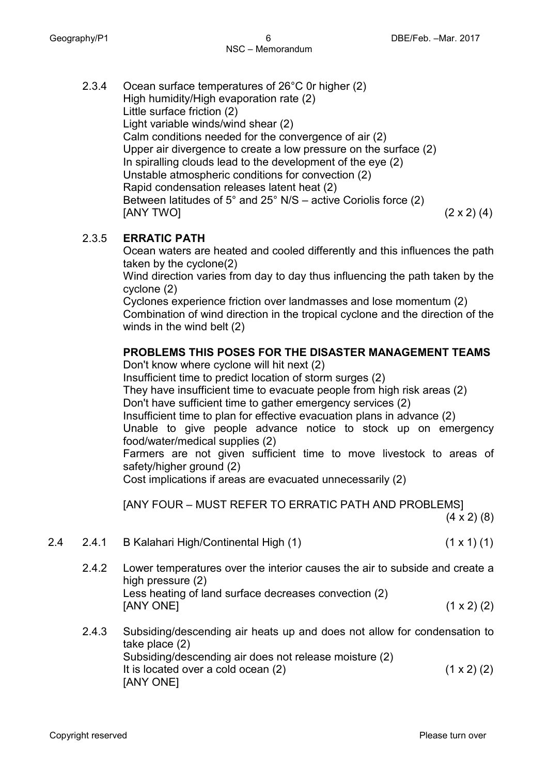2.3.4 Ocean surface temperatures of 26°C 0r higher (2) High humidity/High evaporation rate (2) Little surface friction (2) Light variable winds/wind shear (2) Calm conditions needed for the convergence of air (2) Upper air divergence to create a low pressure on the surface (2) In spiralling clouds lead to the development of the eye (2) Unstable atmospheric conditions for convection (2) Rapid condensation releases latent heat (2) Between latitudes of 5° and 25° N/S – active Coriolis force (2)  $[ANY\ TVO]$  (2 x 2) (4)

#### 2.3.5 **ERRATIC PATH**

Ocean waters are heated and cooled differently and this influences the path taken by the cyclone(2)

Wind direction varies from day to day thus influencing the path taken by the cyclone (2)

Cyclones experience friction over landmasses and lose momentum (2) Combination of wind direction in the tropical cyclone and the direction of the winds in the wind belt (2)

#### **PROBLEMS THIS POSES FOR THE DISASTER MANAGEMENT TEAMS**

Don't know where cyclone will hit next (2)

Insufficient time to predict location of storm surges (2)

They have insufficient time to evacuate people from high risk areas (2)

Don't have sufficient time to gather emergency services (2)

Insufficient time to plan for effective evacuation plans in advance (2)

Unable to give people advance notice to stock up on emergency food/water/medical supplies (2)

Farmers are not given sufficient time to move livestock to areas of safety/higher ground (2)

Cost implications if areas are evacuated unnecessarily (2)

[ANY FOUR – MUST REFER TO ERRATIC PATH AND PROBLEMS]

 $(4 \times 2)$  (8)

- 2.4 2.4.1 B Kalahari High/Continental High (1) (1 x 1) (1)
	- 2.4.2 Lower temperatures over the interior causes the air to subside and create a high pressure (2) Less heating of land surface decreases convection (2) [ANY ONE] (1 x 2) (2)
	- 2.4.3 Subsiding/descending air heats up and does not allow for condensation to take place (2) Subsiding/descending air does not release moisture (2) It is located over a cold ocean  $(2)$  (1 x 2)  $(2)$ [ANY ONE]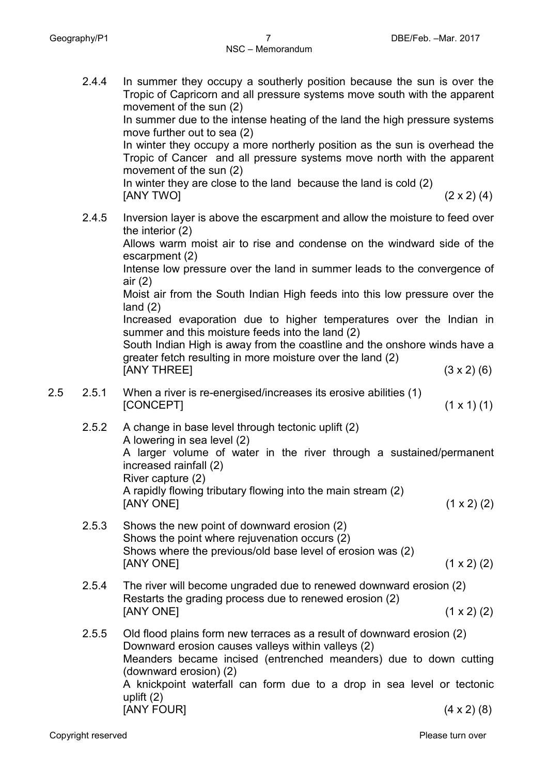2.4.4 In summer they occupy a southerly position because the sun is over the

Tropic of Capricorn and all pressure systems move south with the apparent movement of the sun (2) In summer due to the intense heating of the land the high pressure systems move further out to sea (2) In winter they occupy a more northerly position as the sun is overhead the Tropic of Cancer and all pressure systems move north with the apparent movement of the sun (2) In winter they are close to the land because the land is cold (2)  $[ANY \trow O]$  (2 x 2) (4) 2.4.5 Inversion layer is above the escarpment and allow the moisture to feed over the interior (2) Allows warm moist air to rise and condense on the windward side of the escarpment (2) Intense low pressure over the land in summer leads to the convergence of air (2) Moist air from the South Indian High feeds into this low pressure over the land (2) Increased evaporation due to higher temperatures over the Indian in summer and this moisture feeds into the land (2) South Indian High is away from the coastline and the onshore winds have a greater fetch resulting in more moisture over the land (2)  $[ANY \tIHREE]$  (3 x 2) (6) 2.5 2.5.1 When a river is re-energised/increases its erosive abilities (1)  $[CONCEPT]$  (1 x 1) (1) 2.5.2 A change in base level through tectonic uplift (2) A lowering in sea level (2) A larger volume of water in the river through a sustained/permanent increased rainfall (2) River capture (2) A rapidly flowing tributary flowing into the main stream (2)  $[ANY \t{ONE}]$  (1 x 2) (2) 2.5.3 Shows the new point of downward erosion (2) Shows the point where rejuvenation occurs (2) Shows where the previous/old base level of erosion was (2)  $[ANY \t{ONE}]$  (1 x 2) (2) 2.5.4 The river will become ungraded due to renewed downward erosion (2) Restarts the grading process due to renewed erosion (2) [ANY ONE] (1 x 2) (2) 2.5.5 Old flood plains form new terraces as a result of downward erosion (2) Downward erosion causes valleys within valleys (2) Meanders became incised (entrenched meanders) due to down cutting (downward erosion) (2) A knickpoint waterfall can form due to a drop in sea level or tectonic uplift (2)

[ANY FOUR] (4 x 2) (8)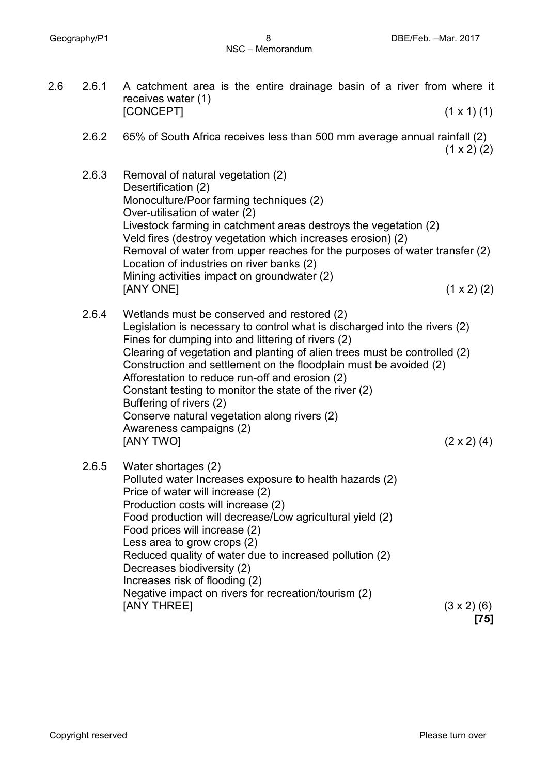2.6 2.6.1 A catchment area is the entire drainage basin of a river from where it receives water (1)  $[CONCEPT]$  (1 x 1) (1) 2.6.2 65% of South Africa receives less than 500 mm average annual rainfall (2)  $(1 \times 2)$  (2) 2.6.3 Removal of natural vegetation (2) Desertification (2) Monoculture/Poor farming techniques (2) Over-utilisation of water (2) Livestock farming in catchment areas destroys the vegetation (2) Veld fires (destroy vegetation which increases erosion) (2) Removal of water from upper reaches for the purposes of water transfer (2) Location of industries on river banks (2) Mining activities impact on groundwater (2)  $[ANY \, ONE]$  (1 x 2) (2) 2.6.4 Wetlands must be conserved and restored (2) Legislation is necessary to control what is discharged into the rivers (2) Fines for dumping into and littering of rivers (2) Clearing of vegetation and planting of alien trees must be controlled (2) Construction and settlement on the floodplain must be avoided (2) Afforestation to reduce run-off and erosion (2) Constant testing to monitor the state of the river (2) Buffering of rivers (2) Conserve natural vegetation along rivers (2) Awareness campaigns (2)  $[ANY\ TVO]$  (2 x 2) (4) 2.6.5 Water shortages (2) Polluted water Increases exposure to health hazards (2) Price of water will increase (2) Production costs will increase (2) Food production will decrease/Low agricultural yield (2) Food prices will increase (2) Less area to grow crops (2) Reduced quality of water due to increased pollution (2) Decreases biodiversity (2) Increases risk of flooding (2) Negative impact on rivers for recreation/tourism (2)  $[ANY \tHREE]$  (3 x 2) (6) **[75]**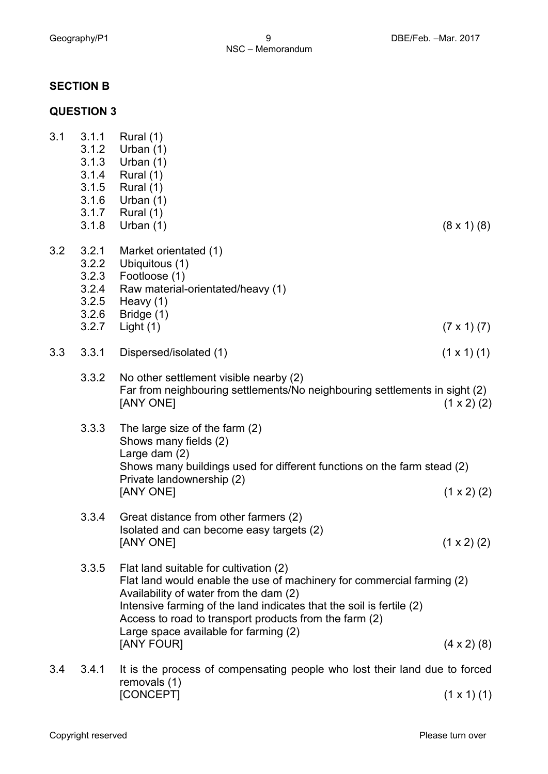### **SECTION B**

# **QUESTION 3**

| 3.1 | 3.1.1<br>3.1.2<br>3.1.3<br>3.1.4<br>3.1.5<br>3.1.6<br>3.1.7 | Rural $(1)$<br>Urban $(1)$<br>Urban $(1)$<br>Rural (1)<br>Rural (1)<br>Urban $(1)$<br>Rural $(1)$                                                                                                                                                                                                                                                   |                    |
|-----|-------------------------------------------------------------|-----------------------------------------------------------------------------------------------------------------------------------------------------------------------------------------------------------------------------------------------------------------------------------------------------------------------------------------------------|--------------------|
|     | 3.1.8                                                       | Urban $(1)$                                                                                                                                                                                                                                                                                                                                         | $(8 \times 1)$ (8) |
| 3.2 | 3.2.1<br>3.2.2<br>3.2.3<br>3.2.4<br>3.2.5<br>3.2.6          | Market orientated (1)<br>Ubiquitous (1)<br>Footloose (1)<br>Raw material-orientated/heavy (1)<br>Heavy (1)<br>Bridge (1)                                                                                                                                                                                                                            |                    |
|     | 3.2.7                                                       | Light $(1)$                                                                                                                                                                                                                                                                                                                                         | $(7 \times 1) (7)$ |
| 3.3 | 3.3.1                                                       | Dispersed/isolated (1)                                                                                                                                                                                                                                                                                                                              | $(1 \times 1)$ (1) |
|     | 3.3.2                                                       | No other settlement visible nearby (2)<br>Far from neighbouring settlements/No neighbouring settlements in sight (2)<br>[ANY ONE]                                                                                                                                                                                                                   | $(1 \times 2)$ (2) |
|     | 3.3.3                                                       | The large size of the farm (2)<br>Shows many fields (2)<br>Large dam $(2)$<br>Shows many buildings used for different functions on the farm stead (2)<br>Private landownership (2)<br>[ANY ONE]                                                                                                                                                     | $(1 \times 2)$ (2) |
|     | 3.3.4                                                       | Great distance from other farmers (2)<br>Isolated and can become easy targets (2)<br>[ANY ONE]                                                                                                                                                                                                                                                      | $(1 \times 2)$ (2) |
|     | 3.3.5                                                       | Flat land suitable for cultivation (2)<br>Flat land would enable the use of machinery for commercial farming (2)<br>Availability of water from the dam (2)<br>Intensive farming of the land indicates that the soil is fertile (2)<br>Access to road to transport products from the farm (2)<br>Large space available for farming (2)<br>[ANY FOUR] | $(4 \times 2)$ (8) |
| 3.4 | 3.4.1                                                       | It is the process of compensating people who lost their land due to forced<br>removals (1)                                                                                                                                                                                                                                                          |                    |

 $[CONCEPT]$  (1 x 1) (1)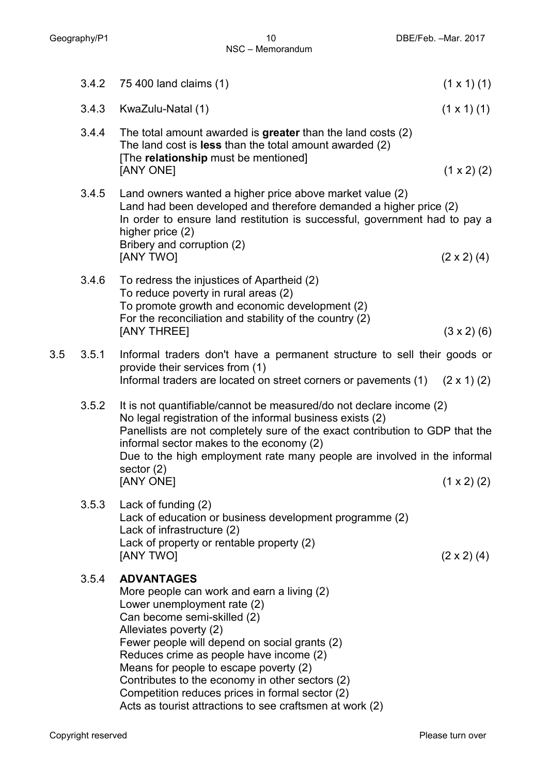|     | 3.4.2 | 75 400 land claims (1)                                                                                                                                                                                                                                                                                                                                                                                                                                          | $(1 \times 1)$ (1) |
|-----|-------|-----------------------------------------------------------------------------------------------------------------------------------------------------------------------------------------------------------------------------------------------------------------------------------------------------------------------------------------------------------------------------------------------------------------------------------------------------------------|--------------------|
|     | 3.4.3 | KwaZulu-Natal (1)                                                                                                                                                                                                                                                                                                                                                                                                                                               | $(1 \times 1)$ (1) |
|     | 3.4.4 | The total amount awarded is greater than the land costs $(2)$<br>The land cost is less than the total amount awarded (2)<br>[The relationship must be mentioned]<br>[ANY ONE]                                                                                                                                                                                                                                                                                   | $(1 \times 2)$ (2) |
|     | 3.4.5 | Land owners wanted a higher price above market value (2)<br>Land had been developed and therefore demanded a higher price (2)<br>In order to ensure land restitution is successful, government had to pay a<br>higher price (2)<br>Bribery and corruption (2)<br>[ANY TWO]                                                                                                                                                                                      | $(2 \times 2)$ (4) |
|     | 3.4.6 | To redress the injustices of Apartheid (2)<br>To reduce poverty in rural areas (2)<br>To promote growth and economic development (2)<br>For the reconciliation and stability of the country (2)<br>[ANY THREE]                                                                                                                                                                                                                                                  | $(3 \times 2)$ (6) |
| 3.5 | 3.5.1 | Informal traders don't have a permanent structure to sell their goods or<br>provide their services from (1)<br>Informal traders are located on street corners or pavements (1)                                                                                                                                                                                                                                                                                  | $(2 \times 1)$ (2) |
|     | 3.5.2 | It is not quantifiable/cannot be measured/do not declare income (2)<br>No legal registration of the informal business exists (2)<br>Panellists are not completely sure of the exact contribution to GDP that the<br>informal sector makes to the economy (2)<br>Due to the high employment rate many people are involved in the informal<br>sector $(2)$<br>[ANY ONE]                                                                                           | $(1 \times 2)$ (2) |
|     | 3.5.3 | Lack of funding (2)<br>Lack of education or business development programme (2)<br>Lack of infrastructure (2)<br>Lack of property or rentable property (2)<br>[ANY TWO]                                                                                                                                                                                                                                                                                          | $(2 \times 2)$ (4) |
|     | 3.5.4 | <b>ADVANTAGES</b><br>More people can work and earn a living (2)<br>Lower unemployment rate (2)<br>Can become semi-skilled (2)<br>Alleviates poverty (2)<br>Fewer people will depend on social grants (2)<br>Reduces crime as people have income (2)<br>Means for people to escape poverty (2)<br>Contributes to the economy in other sectors (2)<br>Competition reduces prices in formal sector (2)<br>Acts as tourist attractions to see craftsmen at work (2) |                    |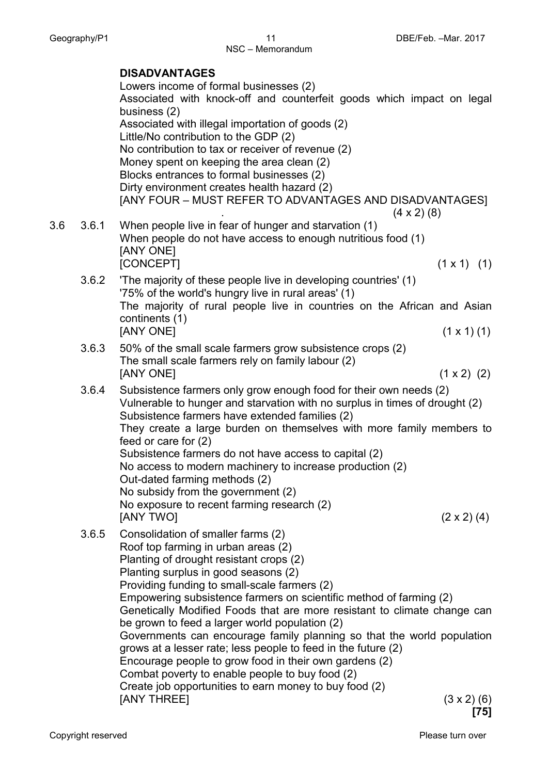NSC – Memorandum

|         |       | <b>DISADVANTAGES</b><br>Lowers income of formal businesses (2)<br>Associated with knock-off and counterfeit goods which impact on legal<br>business (2)<br>Associated with illegal importation of goods (2)<br>Little/No contribution to the GDP (2)<br>No contribution to tax or receiver of revenue (2)<br>Money spent on keeping the area clean (2)<br>Blocks entrances to formal businesses (2)<br>Dirty environment creates health hazard (2)<br>[ANY FOUR – MUST REFER TO ADVANTAGES AND DISADVANTAGES]                                                                                                                                                                                                                                                           |  |
|---------|-------|-------------------------------------------------------------------------------------------------------------------------------------------------------------------------------------------------------------------------------------------------------------------------------------------------------------------------------------------------------------------------------------------------------------------------------------------------------------------------------------------------------------------------------------------------------------------------------------------------------------------------------------------------------------------------------------------------------------------------------------------------------------------------|--|
| $3.6\,$ | 3.6.1 | $(4 \times 2)$ (8)<br>When people live in fear of hunger and starvation (1)<br>When people do not have access to enough nutritious food (1)<br>[ANY ONE]<br>[CONCEPT]<br>$(1 \times 1)$ $(1)$                                                                                                                                                                                                                                                                                                                                                                                                                                                                                                                                                                           |  |
|         | 3.6.2 | The majority of these people live in developing countries' (1)<br>'75% of the world's hungry live in rural areas' (1)<br>The majority of rural people live in countries on the African and Asian<br>continents (1)<br>[ANY ONE]<br>$(1 \times 1)$ (1)                                                                                                                                                                                                                                                                                                                                                                                                                                                                                                                   |  |
|         | 3.6.3 | 50% of the small scale farmers grow subsistence crops (2)<br>The small scale farmers rely on family labour (2)<br>$(1 \times 2)$ (2)<br>[ANY ONE]                                                                                                                                                                                                                                                                                                                                                                                                                                                                                                                                                                                                                       |  |
|         | 3.6.4 | Subsistence farmers only grow enough food for their own needs (2)<br>Vulnerable to hunger and starvation with no surplus in times of drought (2)<br>Subsistence farmers have extended families (2)<br>They create a large burden on themselves with more family members to<br>feed or care for $(2)$<br>Subsistence farmers do not have access to capital (2)<br>No access to modern machinery to increase production (2)<br>Out-dated farming methods (2)<br>No subsidy from the government (2)<br>No exposure to recent farming research (2)<br>[ANY TWO]<br>$(2 \times 2)$ (4)                                                                                                                                                                                       |  |
|         | 3.6.5 | Consolidation of smaller farms (2)<br>Roof top farming in urban areas (2)<br>Planting of drought resistant crops (2)<br>Planting surplus in good seasons (2)<br>Providing funding to small-scale farmers (2)<br>Empowering subsistence farmers on scientific method of farming (2)<br>Genetically Modified Foods that are more resistant to climate change can<br>be grown to feed a larger world population (2)<br>Governments can encourage family planning so that the world population<br>grows at a lesser rate; less people to feed in the future (2)<br>Encourage people to grow food in their own gardens (2)<br>Combat poverty to enable people to buy food (2)<br>Create job opportunities to earn money to buy food (2)<br>[ANY THREE]<br>$(3 \times 2)$ (6) |  |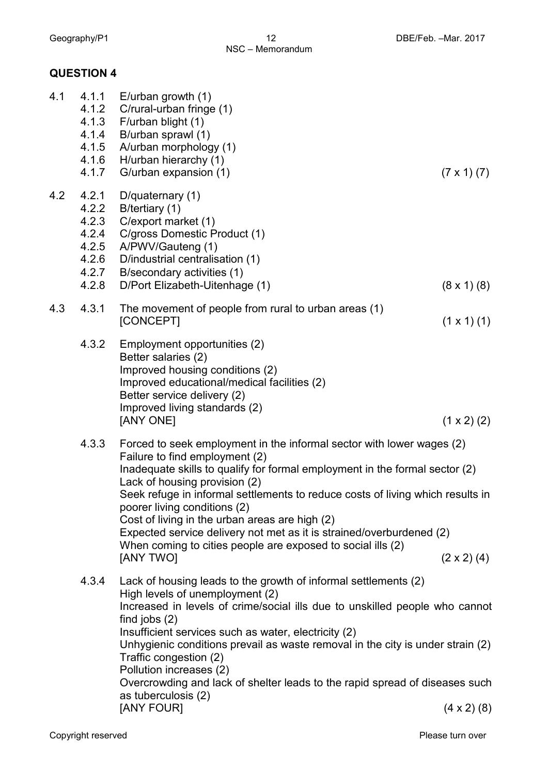## **QUESTION 4**

| 4.1 | 4.1.1<br>4.1.2<br>4.1.3<br>4.1.4<br>4.1.5<br>4.1.6<br>4.1.7          | E/urban growth $(1)$<br>C/rural-urban fringe (1)<br>F/urban blight (1)<br>B/urban sprawl (1)<br>A/urban morphology (1)<br>H/urban hierarchy (1)<br>G/urban expansion (1)                                                                                                                                                                                                                                                                                                                                                                        | $(7 \times 1) (7)$   |
|-----|----------------------------------------------------------------------|-------------------------------------------------------------------------------------------------------------------------------------------------------------------------------------------------------------------------------------------------------------------------------------------------------------------------------------------------------------------------------------------------------------------------------------------------------------------------------------------------------------------------------------------------|----------------------|
| 4.2 | 4.2.1<br>4.2.2<br>4.2.3<br>4.2.4<br>4.2.5<br>4.2.6<br>4.2.7<br>4.2.8 | D/quaternary (1)<br>B/tertiary (1)<br>C/export market (1)<br>C/gross Domestic Product (1)<br>A/PWV/Gauteng (1)<br>D/industrial centralisation (1)<br>B/secondary activities (1)<br>D/Port Elizabeth-Uitenhage (1)                                                                                                                                                                                                                                                                                                                               | $(8 \times 1)$ $(8)$ |
| 4.3 | 4.3.1                                                                | The movement of people from rural to urban areas (1)<br>[CONCEPT]                                                                                                                                                                                                                                                                                                                                                                                                                                                                               | $(1 \times 1)$ (1)   |
|     | 4.3.2                                                                | Employment opportunities (2)<br>Better salaries (2)<br>Improved housing conditions (2)<br>Improved educational/medical facilities (2)<br>Better service delivery (2)<br>Improved living standards (2)<br>[ANY ONE]                                                                                                                                                                                                                                                                                                                              | $(1 \times 2)$ (2)   |
|     | 4.3.3                                                                | Forced to seek employment in the informal sector with lower wages (2)<br>Failure to find employment (2)<br>Inadequate skills to qualify for formal employment in the formal sector (2)<br>Lack of housing provision (2)<br>Seek refuge in informal settlements to reduce costs of living which results in<br>poorer living conditions (2)<br>Cost of living in the urban areas are high (2)<br>Expected service delivery not met as it is strained/overburdened (2)<br>When coming to cities people are exposed to social ills (2)<br>[ANY TWO] | $(2 \times 2)$ (4)   |
|     | 4.3.4                                                                | Lack of housing leads to the growth of informal settlements (2)<br>High levels of unemployment (2)<br>Increased in levels of crime/social ills due to unskilled people who cannot<br>find jobs $(2)$<br>Insufficient services such as water, electricity (2)<br>Unhygienic conditions prevail as waste removal in the city is under strain (2)<br>Traffic congestion (2)<br>Pollution increases (2)<br>Overcrowding and lack of shelter leads to the rapid spread of diseases such<br>as tuberculosis (2)<br>[ANY FOUR]                         | $(4 \times 2)$ (8)   |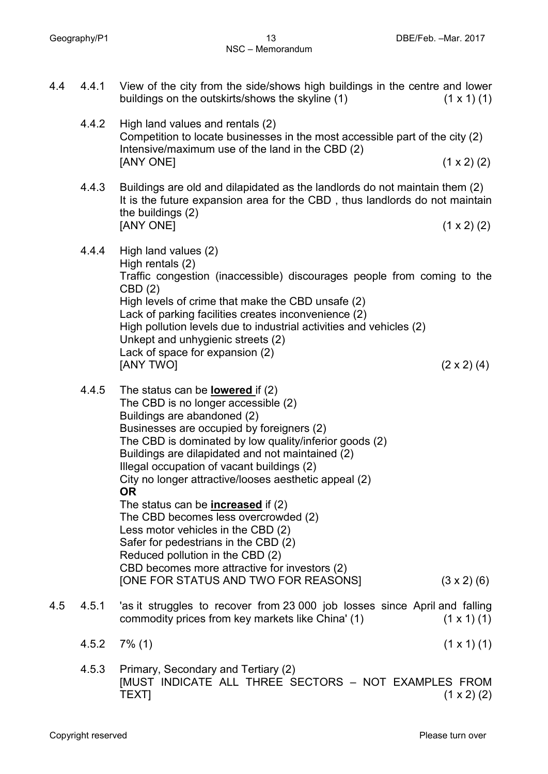4.4 4.4.1 View of the city from the side/shows high buildings in the centre and lower buildings on the outskirts/shows the skyline  $(1)$  (1 x 1) (1) 4.4.2 High land values and rentals (2) Competition to locate businesses in the most accessible part of the city (2) Intensive/maximum use of the land in the CBD (2)  $[ANY \, ONE]$  (1 x 2) (2) 4.4.3 Buildings are old and dilapidated as the landlords do not maintain them (2) It is the future expansion area for the CBD , thus landlords do not maintain the buildings (2)  $[ANY \t{ONE}]$  (1 x 2) (2) 4.4.4 High land values (2) High rentals (2) Traffic congestion (inaccessible) discourages people from coming to the CBD (2) High levels of crime that make the CBD unsafe (2) Lack of parking facilities creates inconvenience (2) High pollution levels due to industrial activities and vehicles (2) Unkept and unhygienic streets (2) Lack of space for expansion (2)  $[ANY \, TWO]$  (2 x 2) (4) 4.4.5 The status can be **lowered** if (2) The CBD is no longer accessible (2) Buildings are abandoned (2) Businesses are occupied by foreigners (2) The CBD is dominated by low quality/inferior goods (2) Buildings are dilapidated and not maintained (2) Illegal occupation of vacant buildings (2) City no longer attractive/looses aesthetic appeal (2) **OR** The status can be **increased** if (2) The CBD becomes less overcrowded (2) Less motor vehicles in the CBD (2) Safer for pedestrians in the CBD (2) Reduced pollution in the CBD (2) CBD becomes more attractive for investors (2) [ONE FOR STATUS AND TWO FOR REASONS] (3 x 2) (6) 4.5 4.5.1 'as it struggles to recover from 23 000 job losses since April and falling commodity prices from key markets like China'  $(1)$  (1 x 1)  $(1)$  $4.5.2$   $7\%$  (1) (1) (1 x 1) (1) 4.5.3 Primary, Secondary and Tertiary (2) [MUST INDICATE ALL THREE SECTORS – NOT EXAMPLES FROM TEXT]  $(1 \times 2) (2)$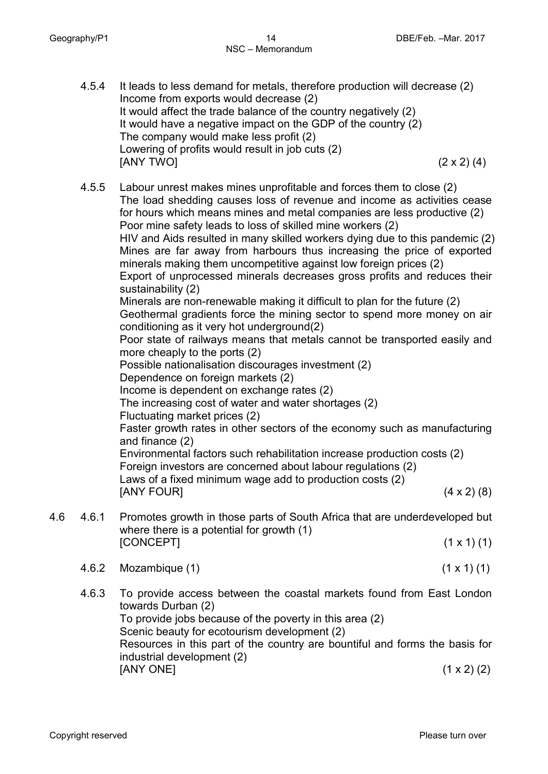- 4.5.4 It leads to less demand for metals, therefore production will decrease (2) Income from exports would decrease (2) It would affect the trade balance of the country negatively (2) It would have a negative impact on the GDP of the country (2) The company would make less profit (2) Lowering of profits would result in job cuts (2)  $[ANY \, TWO]$  (2 x 2) (4)
- 4.5.5 Labour unrest makes mines unprofitable and forces them to close (2) The load shedding causes loss of revenue and income as activities cease for hours which means mines and metal companies are less productive (2) Poor mine safety leads to loss of skilled mine workers (2) HIV and Aids resulted in many skilled workers dying due to this pandemic (2) Mines are far away from harbours thus increasing the price of exported minerals making them uncompetitive against low foreign prices (2) Export of unprocessed minerals decreases gross profits and reduces their sustainability (2) Minerals are non-renewable making it difficult to plan for the future (2) Geothermal gradients force the mining sector to spend more money on air conditioning as it very hot underground(2) Poor state of railways means that metals cannot be transported easily and more cheaply to the ports (2) Possible nationalisation discourages investment (2) Dependence on foreign markets (2) Income is dependent on exchange rates (2) The increasing cost of water and water shortages (2) Fluctuating market prices (2) Faster growth rates in other sectors of the economy such as manufacturing and finance (2) Environmental factors such rehabilitation increase production costs (2) Foreign investors are concerned about labour regulations (2) Laws of a fixed minimum wage add to production costs (2) [ANY FOUR] (4 x 2) (8) 4.6 4.6.1 Promotes growth in those parts of South Africa that are underdeveloped but
- where there is a potential for growth (1) [CONCEPT] (1 x 1) (1)
	- 4.6.2 Mozambique (1) (1 x 1) (1)
	- 4.6.3 To provide access between the coastal markets found from East London towards Durban (2) To provide jobs because of the poverty in this area (2) Scenic beauty for ecotourism development (2) Resources in this part of the country are bountiful and forms the basis for industrial development (2)